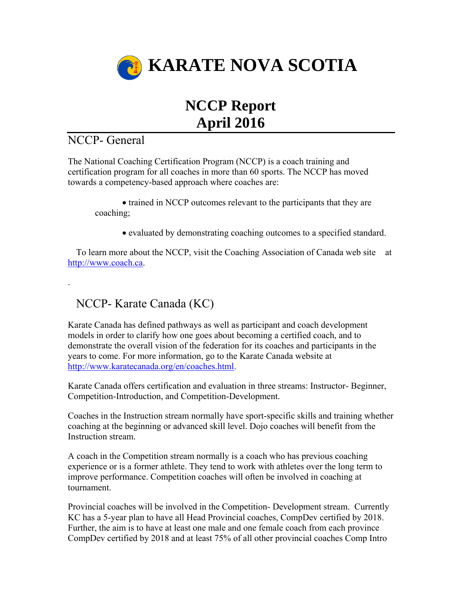

## **NCCP Report April 2016**

## NCCP- General

.

The National Coaching Certification Program (NCCP) is a coach training and certification program for all coaches in more than 60 sports. The NCCP has moved towards a competency-based approach where coaches are:

trained in NCCP outcomes relevant to the participants that they are coaching;

evaluated by demonstrating coaching outcomes to a specified standard.

To learn more about the NCCP, visit the Coaching Association of Canada web site at [http://www.coach.ca.](http://www.coach.ca/)

## NCCP- Karate Canada (KC)

Karate Canada has defined pathways as well as participant and coach development models in order to clarify how one goes about becoming a certified coach, and to demonstrate the overall vision of the federation for its coaches and participants in the years to come. For more information, go to the Karate Canada website at [http://www.karatecanada.org/en/coaches.html.](http://www.karatecanada.org/en/coaches.html)

Karate Canada offers certification and evaluation in three streams: Instructor- Beginner, Competition-Introduction, and Competition-Development.

Coaches in the Instruction stream normally have sport-specific skills and training whether coaching at the beginning or advanced skill level. Dojo coaches will benefit from the Instruction stream.

A coach in the Competition stream normally is a coach who has previous coaching experience or is a former athlete. They tend to work with athletes over the long term to improve performance. Competition coaches will often be involved in coaching at tournament.

Provincial coaches will be involved in the Competition- Development stream. Currently KC has a 5-year plan to have all Head Provincial coaches, CompDev certified by 2018. Further, the aim is to have at least one male and one female coach from each province CompDev certified by 2018 and at least 75% of all other provincial coaches Comp Intro